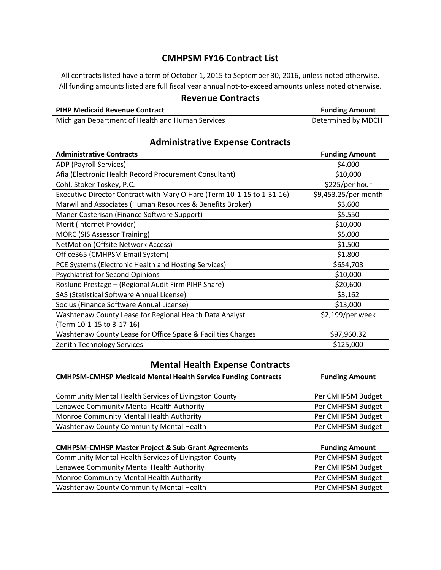## **CMHPSM FY16 Contract List**

All contracts listed have a term of October 1, 2015 to September 30, 2016, unless noted otherwise. All funding amounts listed are full fiscal year annual not-to-exceed amounts unless noted otherwise.

#### **Revenue Contracts**

| <b>PIHP Medicaid Revenue Contract</b>             | <b>Funding Amount</b> |
|---------------------------------------------------|-----------------------|
| 'Michigan Department of Health and Human Services | Determined by MDCH    |

#### Administrative Contracts **Funding Amount Funding Amount** ADP (Payroll Services) \$4,000  $\sim$  \$4,000 Afia (Electronic Health Record Procurement Consultant) | \$10,000 Cohl, Stoker Toskey, P.C. \$225/per hour Executive Director Contract with Mary O'Hare (Term 10-1-15 to 1-31-16)  $\vert$  \$9,453.25/per month Marwil and Associates (Human Resources & Benefits Broker) \$3,600 Maner Costerisan (Finance Software Support) \$5,550 Merit (Internet Provider) \$10,000 MORC (SIS Assessor Training) \$5,000 NetMotion (Offsite Network Access) \$1,500 Office365 (CMHPSM Email System)  $\qquad \qquad$  51,800 PCE Systems (Electronic Health and Hosting Services)  $$654,708$ Psychiatrist for Second Opinions  $\vert$  \$10,000 Roslund Prestage – (Regional Audit Firm PIHP Share)  $\vert$  \$20,600 SAS (Statistical Software Annual License) \$3,162 Socius (Finance Software Annual License) **\$13,000** Washtenaw County Lease for Regional Health Data Analyst (Term 10-1-15 to 3-17-16) \$2,199/per week Washtenaw County Lease for Office Space & Facilities Charges | \$97,960.32 Zenith Technology Services  $\frac{1}{2}$  \$125,000

### **Administrative Expense Contracts**

### **Mental Health Expense Contracts**

| <b>CMHPSM-CMHSP Medicaid Mental Health Service Funding Contracts</b> | <b>Funding Amount</b> |
|----------------------------------------------------------------------|-----------------------|
| Community Mental Health Services of Livingston County                | Per CMHPSM Budget     |
| Lenawee Community Mental Health Authority                            | Per CMHPSM Budget     |
| Monroe Community Mental Health Authority                             | Per CMHPSM Budget     |
| Washtenaw County Community Mental Health                             | Per CMHPSM Budget     |

| <b>CMHPSM-CMHSP Master Project &amp; Sub-Grant Agreements</b> | <b>Funding Amount</b> |
|---------------------------------------------------------------|-----------------------|
| Community Mental Health Services of Livingston County         | Per CMHPSM Budget     |
| Lenawee Community Mental Health Authority                     | Per CMHPSM Budget     |
| Monroe Community Mental Health Authority                      | Per CMHPSM Budget     |
| Washtenaw County Community Mental Health                      | Per CMHPSM Budget     |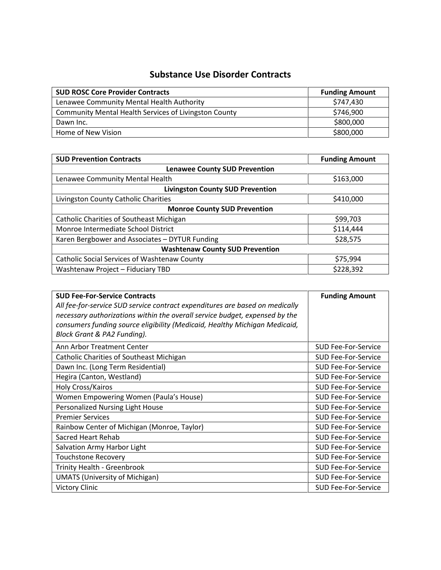## **Substance Use Disorder Contracts**

| <b>SUD ROSC Core Provider Contracts</b>               | <b>Funding Amount</b> |
|-------------------------------------------------------|-----------------------|
| Lenawee Community Mental Health Authority             | \$747,430             |
| Community Mental Health Services of Livingston County | \$746,900             |
| Dawn Inc.                                             | \$800,000             |
| Home of New Vision                                    | \$800,000             |

| <b>SUD Prevention Contracts</b>                     | <b>Funding Amount</b> |
|-----------------------------------------------------|-----------------------|
| <b>Lenawee County SUD Prevention</b>                |                       |
| Lenawee Community Mental Health                     | \$163,000             |
| <b>Livingston County SUD Prevention</b>             |                       |
| Livingston County Catholic Charities                | \$410,000             |
| <b>Monroe County SUD Prevention</b>                 |                       |
| <b>Catholic Charities of Southeast Michigan</b>     | \$99,703              |
| Monroe Intermediate School District                 | \$114,444             |
| Karen Bergbower and Associates - DYTUR Funding      | \$28,575              |
| <b>Washtenaw County SUD Prevention</b>              |                       |
| <b>Catholic Social Services of Washtenaw County</b> | \$75,994              |
| Washtenaw Project - Fiduciary TBD                   | \$228,392             |

| <b>SUD Fee-For-Service Contracts</b>                                         | <b>Funding Amount</b>      |
|------------------------------------------------------------------------------|----------------------------|
| All fee-for-service SUD service contract expenditures are based on medically |                            |
| necessary authorizations within the overall service budget, expensed by the  |                            |
| consumers funding source eligibility (Medicaid, Healthy Michigan Medicaid,   |                            |
| Block Grant & PA2 Funding).                                                  |                            |
| Ann Arbor Treatment Center                                                   | <b>SUD Fee-For-Service</b> |
| Catholic Charities of Southeast Michigan                                     | SUD Fee-For-Service        |
| Dawn Inc. (Long Term Residential)                                            | <b>SUD Fee-For-Service</b> |
| Hegira (Canton, Westland)                                                    | <b>SUD Fee-For-Service</b> |
| Holy Cross/Kairos                                                            | <b>SUD Fee-For-Service</b> |
| Women Empowering Women (Paula's House)                                       | <b>SUD Fee-For-Service</b> |
| Personalized Nursing Light House                                             | <b>SUD Fee-For-Service</b> |
| <b>Premier Services</b>                                                      | <b>SUD Fee-For-Service</b> |
| Rainbow Center of Michigan (Monroe, Taylor)                                  | <b>SUD Fee-For-Service</b> |
| Sacred Heart Rehab                                                           | <b>SUD Fee-For-Service</b> |
| Salvation Army Harbor Light                                                  | <b>SUD Fee-For-Service</b> |
| <b>Touchstone Recovery</b>                                                   | <b>SUD Fee-For-Service</b> |
| <b>Trinity Health - Greenbrook</b>                                           | <b>SUD Fee-For-Service</b> |
| <b>UMATS (University of Michigan)</b>                                        | <b>SUD Fee-For-Service</b> |
| <b>Victory Clinic</b>                                                        | <b>SUD Fee-For-Service</b> |